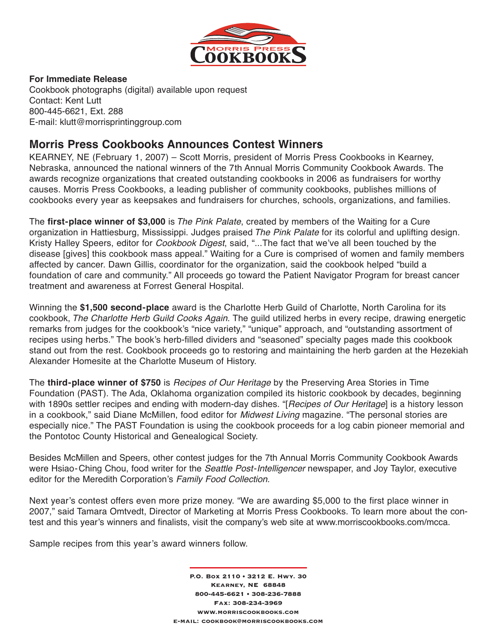

## **For Immediate Release**

Cookbook photographs (digital) available upon request Contact: Kent Lutt 800-445-6621, Ext. 288 E-mail: klutt@morrisprintinggroup.com

# **Morris Press Cookbooks Announces Contest Winners**

KEARNEY, NE (February 1, 2007) – Scott Morris, president of Morris Press Cookbooks in Kearney, Nebraska, announced the national winners of the 7th Annual Morris Community Cookbook Awards. The awards recognize organizations that created outstanding cookbooks in 2006 as fundraisers for worthy causes. Morris Press Cookbooks, a leading publisher of community cookbooks, publishes millions of cookbooks every year as keepsakes and fundraisers for churches, schools, organizations, and families.

The **first-place winner of \$3,000** is The Pink Palate, created by members of the Waiting for a Cure organization in Hattiesburg, Mississippi. Judges praised The Pink Palate for its colorful and uplifting design. Kristy Halley Speers, editor for *Cookbook Digest*, said, "...The fact that we've all been touched by the disease [gives] this cookbook mass appeal." Waiting for a Cure is comprised of women and family members affected by cancer. Dawn Gillis, coordinator for the organization, said the cookbook helped "build a foundation of care and community." All proceeds go toward the Patient Navigator Program for breast cancer treatment and awareness at Forrest General Hospital.

Winning the **\$1,500 second-place** award is the Charlotte Herb Guild of Charlotte, North Carolina for its cookbook, The Charlotte Herb Guild Cooks Again. The guild utilized herbs in every recipe, drawing energetic remarks from judges for the cookbook's "nice variety," "unique" approach, and "outstanding assortment of recipes using herbs." The book's herb-filled dividers and "seasoned" specialty pages made this cookbook stand out from the rest. Cookbook proceeds go to restoring and maintaining the herb garden at the Hezekiah Alexander Homesite at the Charlotte Museum of History.

The **third-place winner of \$750** is Recipes of Our Heritage by the Preserving Area Stories in Time Foundation (PAST). The Ada, Oklahoma organization compiled its historic cookbook by decades, beginning with 1890s settler recipes and ending with modern-day dishes. "[Recipes of Our Heritage] is a history lesson in a cookbook," said Diane McMillen, food editor for *Midwest Living* magazine. "The personal stories are especially nice." The PAST Foundation is using the cookbook proceeds for a log cabin pioneer memorial and the Pontotoc County Historical and Genealogical Society.

Besides McMillen and Speers, other contest judges for the 7th Annual Morris Community Cookbook Awards were Hsiao-Ching Chou, food writer for the *Seattle Post-Intelligencer* newspaper, and Joy Taylor, executive editor for the Meredith Corporation's Family Food Collection.

Next year's contest offers even more prize money. "We are awarding \$5,000 to the first place winner in 2007," said Tamara Omtvedt, Director of Marketing at Morris Press Cookbooks. To learn more about the contest and this year's winners and finalists, visit the company's web site at www.morriscookbooks.com/mcca.

Sample recipes from this year's award winners follow.

P.O. Box 2110 • 3212 E. Hwy. 30 Kearney, NE 68848 800-445-6621 • 308-236-7888 Fax: 308-234-3969 www.morriscookbooks.com e-mail: cookbook@morriscookbooks.com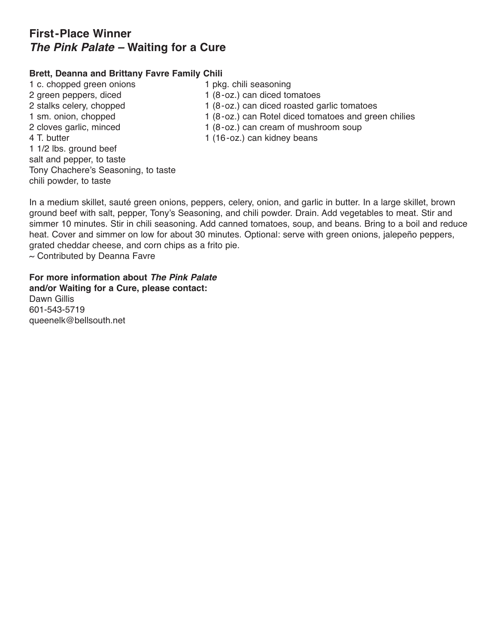# **First-Place Winner** *The Pink Palate –* **Waiting for a Cure**

## **Brett, Deanna and Brittany Favre Family Chili**

1 c. chopped green onions 1 pkg. chili seasoning 2 green peppers, diced 1 (8-oz.) can diced tomatoes 2 stalks celery, chopped 1 (8-oz.) can diced roasted garlic tomatoes 1 sm. onion, chopped 1 (8-oz.) can Rotel diced tomatoes and green chilies 2 cloves garlic, minced 1 (8-oz.) can cream of mushroom soup 4 T. butter 1 (16-oz.) can kidney beans 1 1/2 lbs. ground beef salt and pepper, to taste Tony Chachere's Seasoning, to taste chili powder, to taste

In a medium skillet, sauté green onions, peppers, celery, onion, and garlic in butter. In a large skillet, brown ground beef with salt, pepper, Tony's Seasoning, and chili powder. Drain. Add vegetables to meat. Stir and simmer 10 minutes. Stir in chili seasoning. Add canned tomatoes, soup, and beans. Bring to a boil and reduce heat. Cover and simmer on low for about 30 minutes. Optional: serve with green onions, jalepeño peppers, grated cheddar cheese, and corn chips as a frito pie.  $\sim$  Contributed by Deanna Favre

**For more information about** *The Pink Palate* **and/or Waiting for a Cure, please contact:** Dawn Gillis 601-543-5719 queenelk@bellsouth.net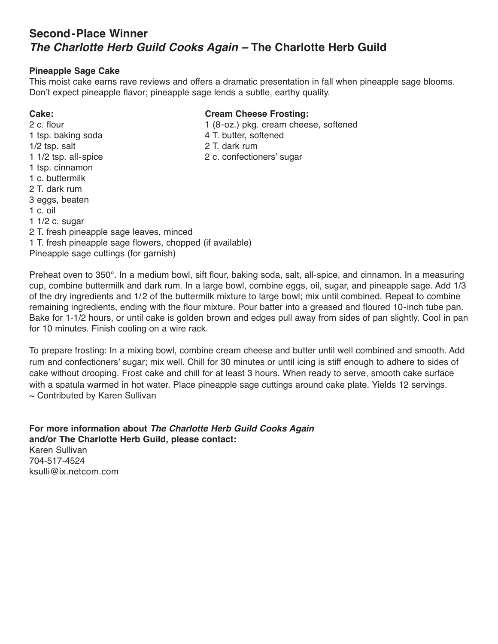# **Second-Place Winner** *The Charlotte Herb Guild Cooks Again –* **The Charlotte Herb Guild**

## **Pineapple Sage Cake**

This moist cake earns rave reviews and offers a dramatic presentation in fall when pineapple sage blooms. Don't expect pineapple flavor; pineapple sage lends a subtle, earthy quality.

1 c. oil

1 1/2 c. sugar

1 tsp. cinnamon 1 c. buttermilk 2 T. dark rum 3 eggs, beaten

# **Cake: Cream Cheese Frosting:**

- 2 c. flour 1 (8-oz.) pkg. cream cheese, softened
- 1 tsp. baking soda 4 T. butter, softened
- 1/2 tsp. salt 2 T. dark rum
- 1 1/2 tsp. all-spice 2 c. confectioners' sugar

- 2 T. fresh pineapple sage leaves, minced 1 T. fresh pineapple sage flowers, chopped (if available)
- Pineapple sage cuttings (for garnish)

Preheat oven to 350°. In a medium bowl, sift flour, baking soda, salt, all-spice, and cinnamon. In a measuring cup, combine buttermilk and dark rum. In a large bowl, combine eggs, oil, sugar, and pineapple sage. Add 1/3 of the dry ingredients and 1/2 of the buttermilk mixture to large bowl; mix until combined. Repeat to combine remaining ingredients, ending with the flour mixture. Pour batter into a greased and floured 10-inch tube pan. Bake for 1-1/2 hours, or until cake is golden brown and edges pull away from sides of pan slightly. Cool in pan for 10 minutes. Finish cooling on a wire rack.

To prepare frosting: In a mixing bowl, combine cream cheese and butter until well combined and smooth. Add rum and confectioners' sugar; mix well. Chill for 30 minutes or until icing is stiff enough to adhere to sides of cake without drooping. Frost cake and chill for at least 3 hours. When ready to serve, smooth cake surface with a spatula warmed in hot water. Place pineapple sage cuttings around cake plate. Yields 12 servings.  $\sim$  Contributed by Karen Sullivan

**For more information about** *The Charlotte Herb Guild Cooks Again* **and/or The Charlotte Herb Guild, please contact:** Karen Sullivan 704-517-4524 ksulli@ix.netcom.com